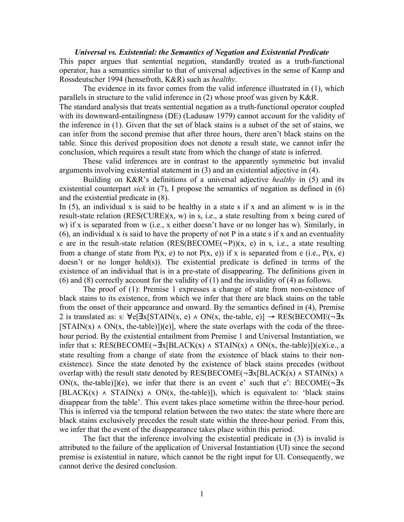## *Universal vs. Existential: the Semantics of Negation and Existential Predicate*

This paper argues that sentential negation, standardly treated as a truth-functional operator, has a semantics similar to that of universal adjectives in the sense of Kamp and Rossdeutscher 1994 (hensefroth, K&R) such as *healthy*.

The evidence in its favor comes from the valid inference illustrated in (1), which parallels in structure to the valid inference in (2) whose proof was given by K&R. The standard analysis that treats sentential negation as a truth-functional operator coupled with its downward-entailingness (DE) (Ladusaw 1979) cannot account for the validity of the inference in (1). Given that the set of black stains is a subset of the set of stains, we can infer from the second premise that after three hours, there aren't black stains on the table. Since this derived proposition does not denote a result state, we cannot infer the conclusion, which requires a result state from which the change of state is inferred.

These valid inferences are in contrast to the apparently symmetric but invalid arguments involving existential statement in (3) and an existential adjective in (4).

Building on K&R's definitions of a universal adjective *healthy* in (5) and its existential counterpart *sick* in (7), I propose the semantics of negation as defined in (6) and the existential predicate in (8).

In  $(5)$ , an individual x is said to be healthy in a state s if x and an aliment w is in the result-state relation (RES(CURE)(x, w) in s, i.e., a state resulting from x being cured of w) if x is separated from w (i.e., x either doesn't have or no longer has w). Similarly, in  $(6)$ , an individual x is said to have the property of not P in a state s if x and an eventuality e are in the result-state relation  $(RES(BECOME(-P))(x, e)$  in s, i.e., a state resulting from a change of state from  $P(x, e)$  to not  $P(x, e)$ ) if x is separated from e (i.e.,  $P(x, e)$ ) doesn't or no longer hold(s)). The existential predicate is defined in terms of the existence of an individual that is in a pre-state of disappearing. The definitions given in (6) and (8) correctly account for the validity of (1) and the invalidity of (4) as follows.

The proof of (1): Premise 1 expresses a change of state from non-existence of black stains to its existence, from which we infer that there are black stains on the table from the onset of their appearance and onward. By the semantics defined in (4), Premise 2 is translated as: s:  $\forall e[\exists x[\text{STAIN}(x, e) \land \text{ON}(x, \text{ the-table}, e)] \rightarrow \text{RES}(\text{BECOME}(\neg \exists x$  $[STAIN(x) \wedge ON(x, the-table)])(e)$ , where the state overlaps with the coda of the threehour period. By the existential entailment from Premise 1 and Universal Instantiation, we infer that s: RES(BECOME( $\neg \exists x$ [BLACK(x)  $\land$  STAIN(x)  $\land$  ON(x, the-table)])(e)(i.e., a state resulting from a change of state from the existence of black stains to their nonexistence). Since the state denoted by the existence of black stains precedes (without overlap with) the result state denoted by RES(BECOME( $\neg \exists x[BLACK(x) \land STAIN(x) \land$ ON(x, the-table)])(e), we infer that there is an event e' such that e': BECOME( $\neg$ **Ex**  $[BLACK(x) \wedge STAIN(x) \wedge ON(x, the-table)]$ , which is equivalent to: 'black stains' disappear from the table'. This event takes place sometime within the three-hour period. This is inferred via the temporal relation between the two states: the state where there are black stains exclusively precedes the result state within the three-hour period. From this, we infer that the event of the disappearance takes place within this period.

The fact that the inference involving the existential predicate in (3) is invalid is attributed to the failure of the application of Universal Instantiation (UI) since the second premise is existential in nature, which cannot be the right input for UI. Consequently, we cannot derive the desired conclusion.